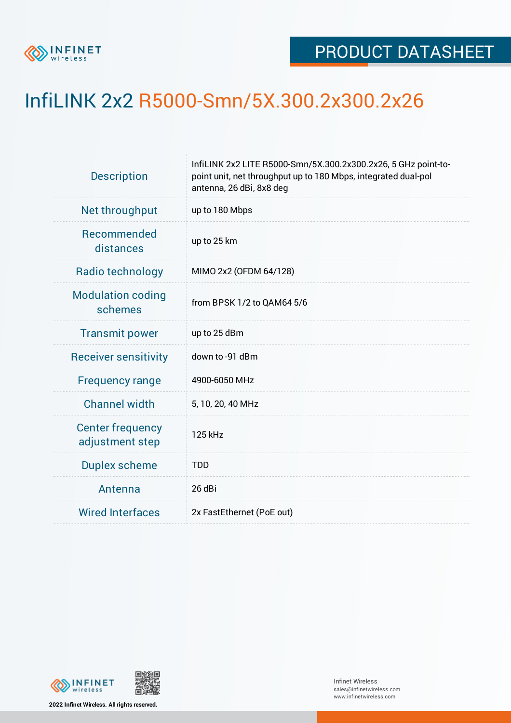

## InfiLINK 2x2 R5000-Smn/5X.300.2x300.2x26

| <b>Description</b>                         | InfiLINK 2x2 LITE R5000-Smn/5X.300.2x300.2x26, 5 GHz point-to-<br>point unit, net throughput up to 180 Mbps, integrated dual-pol<br>antenna, 26 dBi, 8x8 deg |  |  |  |  |
|--------------------------------------------|--------------------------------------------------------------------------------------------------------------------------------------------------------------|--|--|--|--|
| Net throughput                             | up to 180 Mbps                                                                                                                                               |  |  |  |  |
| Recommended<br>distances                   | up to 25 km                                                                                                                                                  |  |  |  |  |
| Radio technology                           | MIMO 2x2 (OFDM 64/128)                                                                                                                                       |  |  |  |  |
| <b>Modulation coding</b><br>schemes        | from BPSK 1/2 to QAM64 5/6                                                                                                                                   |  |  |  |  |
| <b>Transmit power</b>                      | up to 25 dBm                                                                                                                                                 |  |  |  |  |
| <b>Receiver sensitivity</b>                | down to -91 dBm                                                                                                                                              |  |  |  |  |
| <b>Frequency range</b>                     | 4900-6050 MHz                                                                                                                                                |  |  |  |  |
| <b>Channel width</b>                       | 5, 10, 20, 40 MHz                                                                                                                                            |  |  |  |  |
| <b>Center frequency</b><br>adjustment step | 125 kHz                                                                                                                                                      |  |  |  |  |
| <b>Duplex scheme</b>                       | <b>TDD</b>                                                                                                                                                   |  |  |  |  |
| Antenna                                    | 26 dBi                                                                                                                                                       |  |  |  |  |
| <b>Wired Interfaces</b>                    | 2x FastEthernet (PoE out)                                                                                                                                    |  |  |  |  |



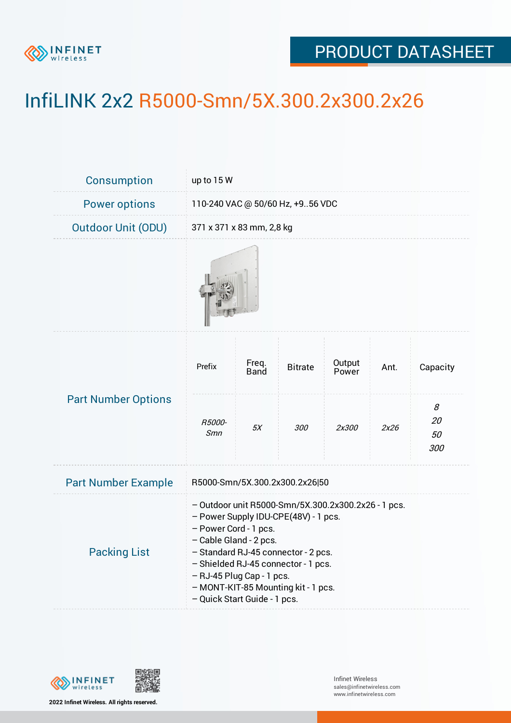

## PRODUCT DATASHEET

## InfiLINK 2x2 R5000-Smn/5X.300.2x300.2x26

| Consumption                | up to 15 W                                                                                                                                                                                                                                                                                                                       |                      |                |                 |      |                      |  |  |
|----------------------------|----------------------------------------------------------------------------------------------------------------------------------------------------------------------------------------------------------------------------------------------------------------------------------------------------------------------------------|----------------------|----------------|-----------------|------|----------------------|--|--|
| <b>Power options</b>       | 110-240 VAC @ 50/60 Hz, +956 VDC                                                                                                                                                                                                                                                                                                 |                      |                |                 |      |                      |  |  |
| <b>Outdoor Unit (ODU)</b>  | 371 x 371 x 83 mm, 2,8 kg                                                                                                                                                                                                                                                                                                        |                      |                |                 |      |                      |  |  |
|                            |                                                                                                                                                                                                                                                                                                                                  |                      |                |                 |      |                      |  |  |
| <b>Part Number Options</b> | Prefix                                                                                                                                                                                                                                                                                                                           | Freq.<br><b>Band</b> | <b>Bitrate</b> | Output<br>Power | Ant. | Capacity             |  |  |
|                            | R5000-<br>Smn                                                                                                                                                                                                                                                                                                                    | 5X                   | 300            | 2x300           | 2x26 | 8<br>20<br>50<br>300 |  |  |
| <b>Part Number Example</b> | R5000-Smn/5X.300.2x300.2x26 50                                                                                                                                                                                                                                                                                                   |                      |                |                 |      |                      |  |  |
| <b>Packing List</b>        | - Outdoor unit R5000-Smn/5X.300.2x300.2x26 - 1 pcs.<br>- Power Supply IDU-CPE(48V) - 1 pcs.<br>- Power Cord - 1 pcs.<br>- Cable Gland - 2 pcs.<br>- Standard RJ-45 connector - 2 pcs.<br>- Shielded RJ-45 connector - 1 pcs.<br>- RJ-45 Plug Cap - 1 pcs.<br>- MONT-KIT-85 Mounting kit - 1 pcs.<br>- Quick Start Guide - 1 pcs. |                      |                |                 |      |                      |  |  |



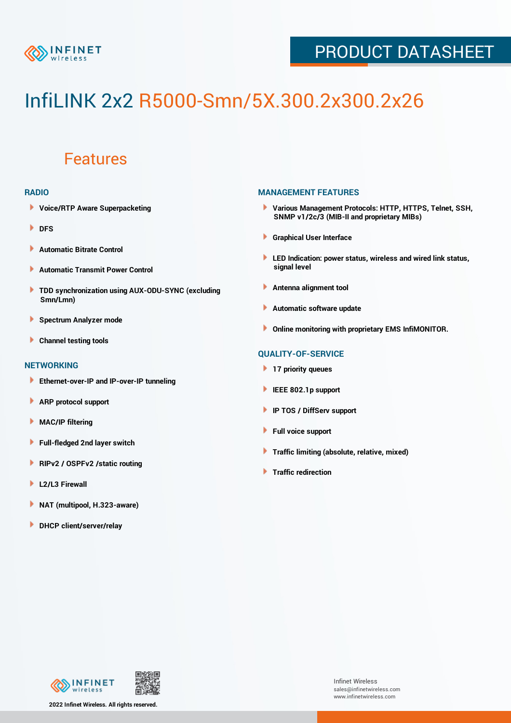

## PRODUCT DATASHEET

# InfiLINK 2x2 R5000-Smn/5X.300.2x300.2x26

### Features

#### **RADIO**

- **Voice/RTP Aware Superpacketing**
- **DFS**
- **Automatic Bitrate Control** Þ
- Þ **Automatic Transmit Power Control**
- ь **TDD synchronization using AUX-ODU-SYNC (excluding Smn/Lmn)**
- **Spectrum Analyzer mode** ۰
- **Channel testing tools** ١

#### **NETWORKING**

- **Ethernet-over-IP and IP-over-IP tunneling**
- Þ **ARP protocol support**
- ۱ **MAC/IP filtering**
- Þ **Full-fledged 2nd layer switch**
- Þ **RIPv2 / OSPFv2 /static routing**
- **L2/L3 Firewall** Þ
- **NAT (multipool, H.323-aware)** Þ
- Þ **DHCP client/server/relay**

#### **MANAGEMENT FEATURES**

- **Various Management Protocols: HTTP, HTTPS, Telnet, SSH, SNMP v1/2c/3 (MIB-II and proprietary MIBs)**
- **Graphical User Interface**
- **LED Indication: power status, wireless and wired link status, signal level**
- **Antenna alignment tool**
- ٠ **Automatic software update**
- **Online monitoring with proprietary EMS InfiMONITOR.**

#### **QUALITY-OF-SERVICE**

- **17 priority queues**
- **IEEE 802.1p support**
- **IP TOS / DiffServ support**
- ٠ **Full voice support**
- **Traffic limiting (absolute, relative, mixed)** ٠
- **Traffic redirection**